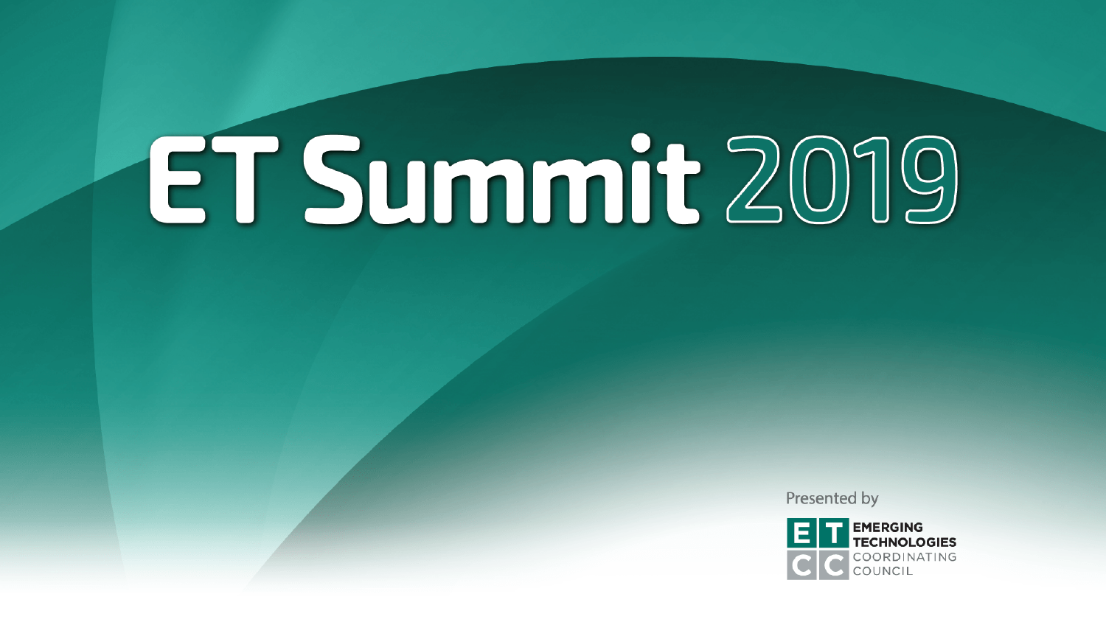Presented by

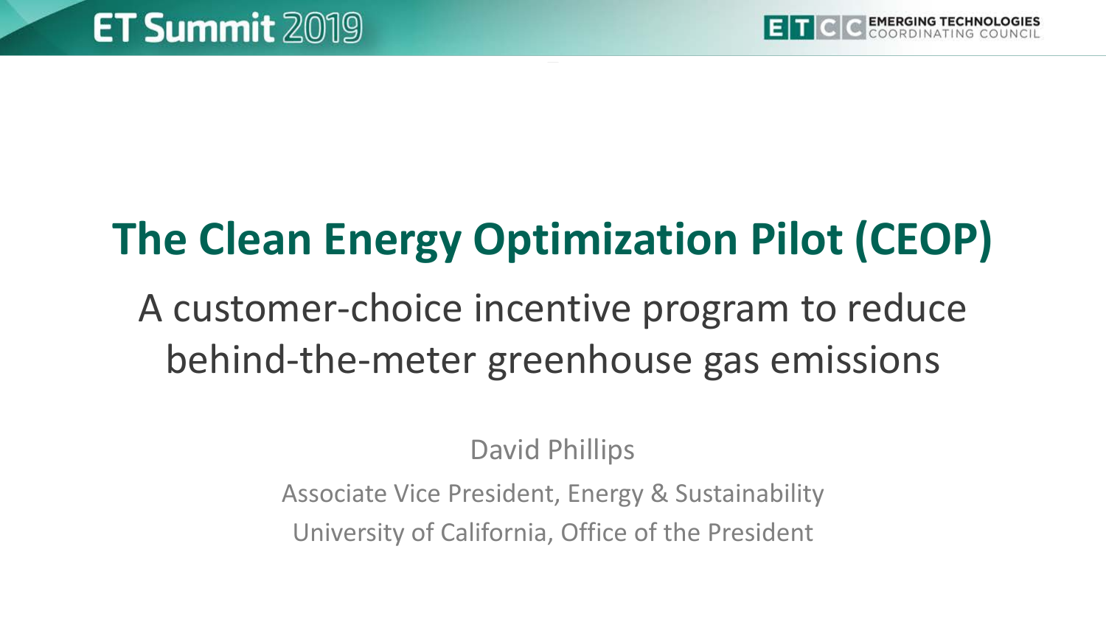## **The Clean Energy Optimization Pilot (CEOP)**

A customer-choice incentive program to reduce behind-the-meter greenhouse gas emissions

David Phillips

Associate Vice President, Energy & Sustainability

University of California, Office of the President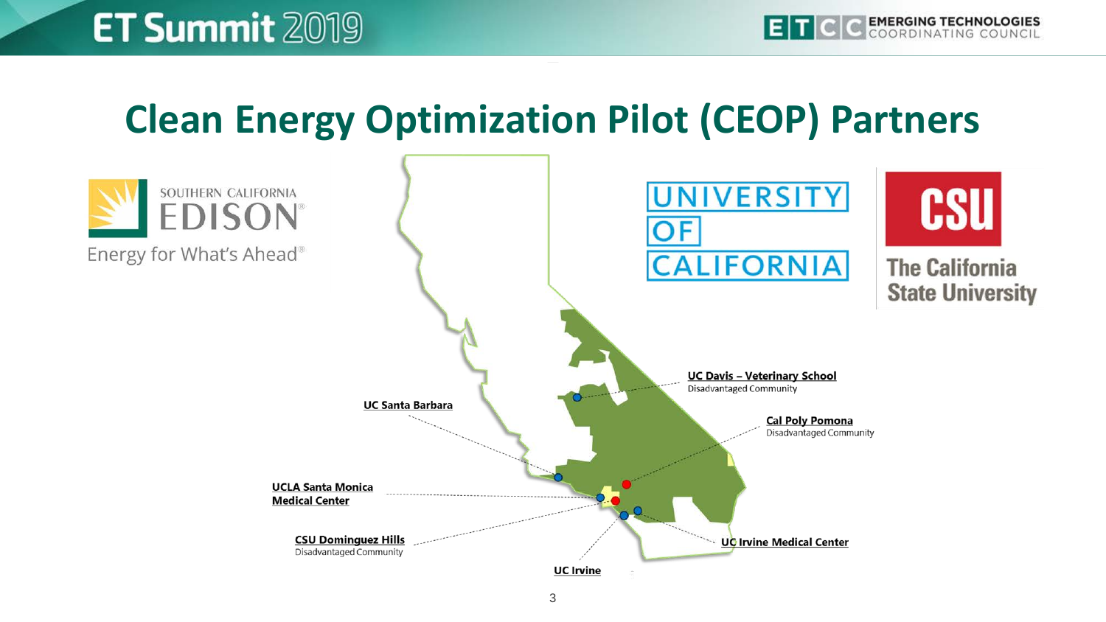#### **Clean Energy Optimization Pilot (CEOP) Partners**

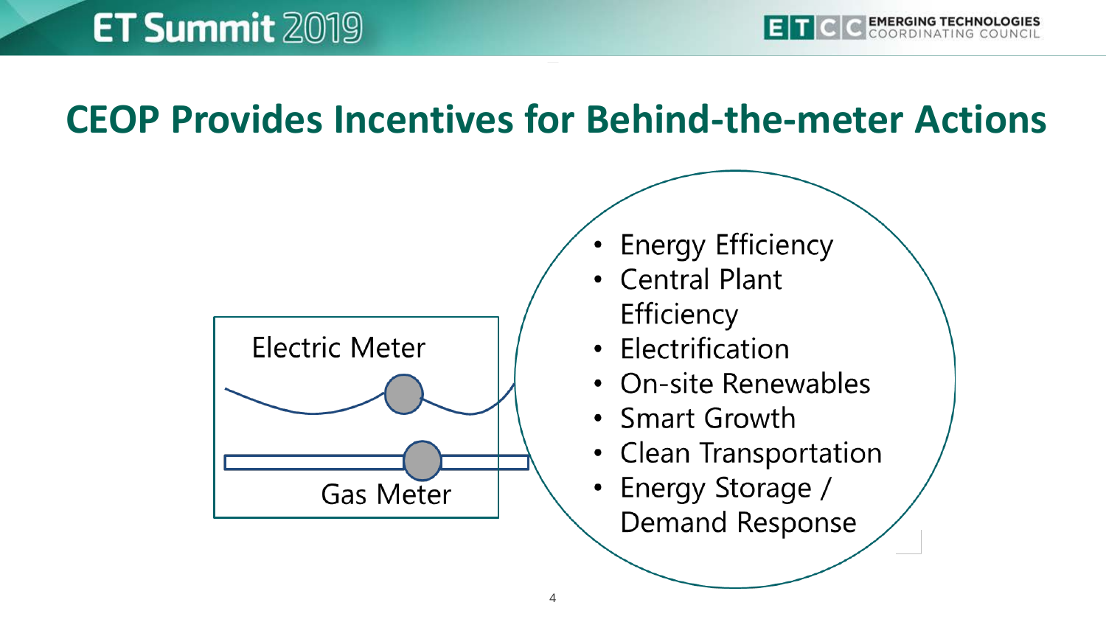#### **CEOP Provides Incentives for Behind-the-meter Actions**



- **Energy Efficiency**
- Central Plant Efficiency
- Electrification
- On-site Renewables
- Smart Growth
- Clean Transportation
- Energy Storage / **Demand Response**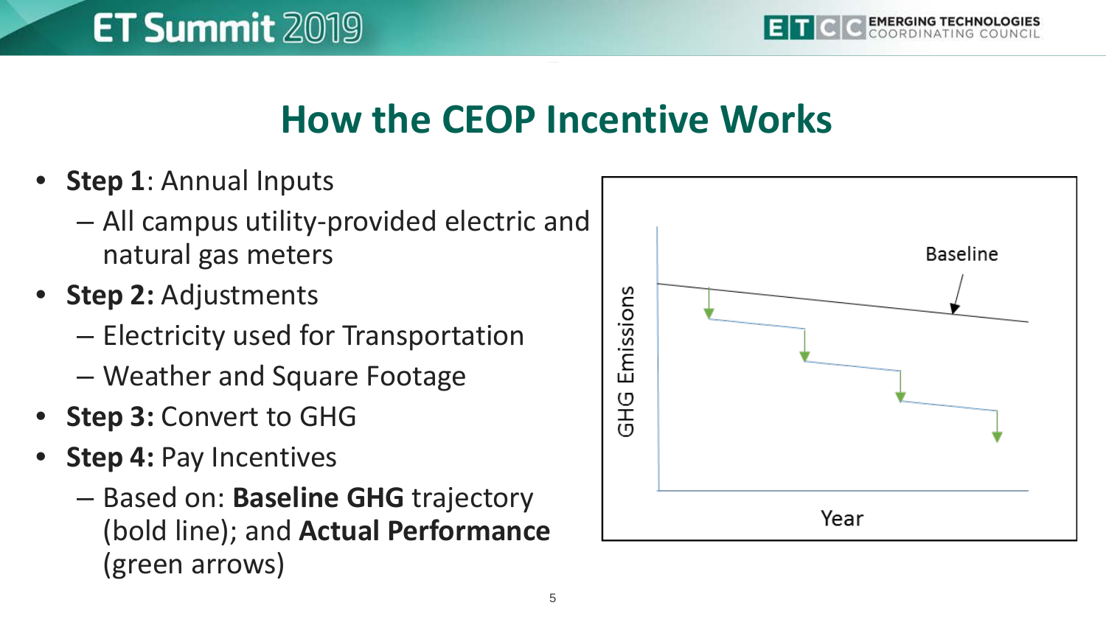#### **How the CEOP Incentive Works**

• **Step 1**: Annual Inputs

**ET Summit 2019** 

- All campus utility-provided electric and natural gas meters
- **Step 2:** Adjustments
	- Electricity used for Transportation
	- Weather and Square Footage
- **Step 3: Convert to GHG**
- **Step 4: Pay Incentives** 
	- Based on: **Baseline GHG** trajectory (bold line); and **Actual Performance** (green arrows)

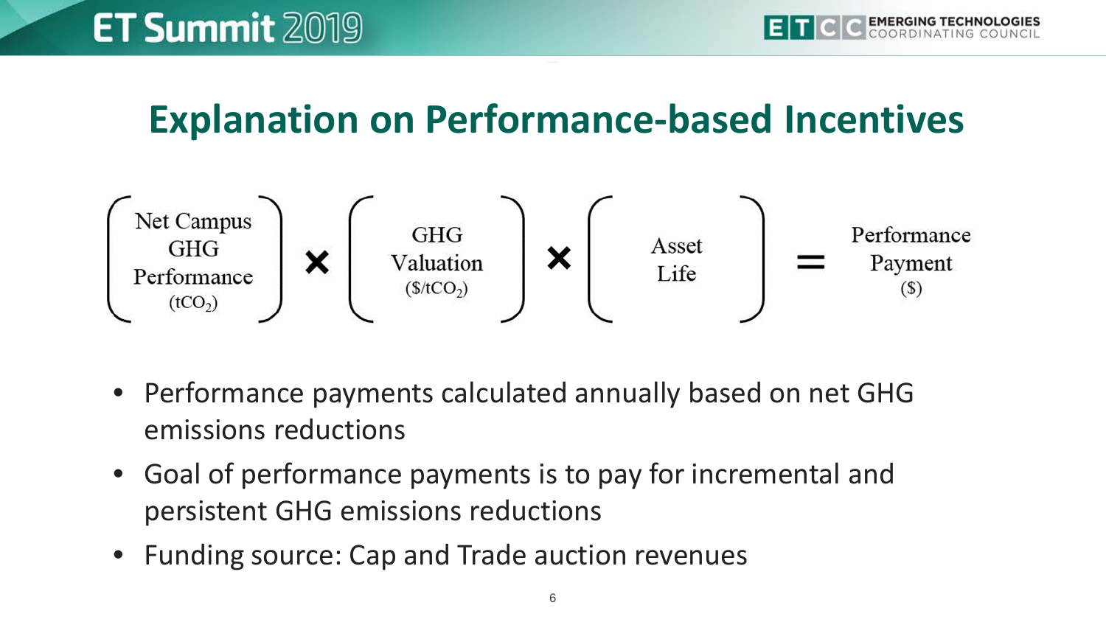#### **Explanation on Performance-based Incentives**



- Performance payments calculated annually based on net GHG emissions reductions
- Goal of performance payments is to pay for incremental and persistent GHG emissions reductions
- Funding source: Cap and Trade auction revenues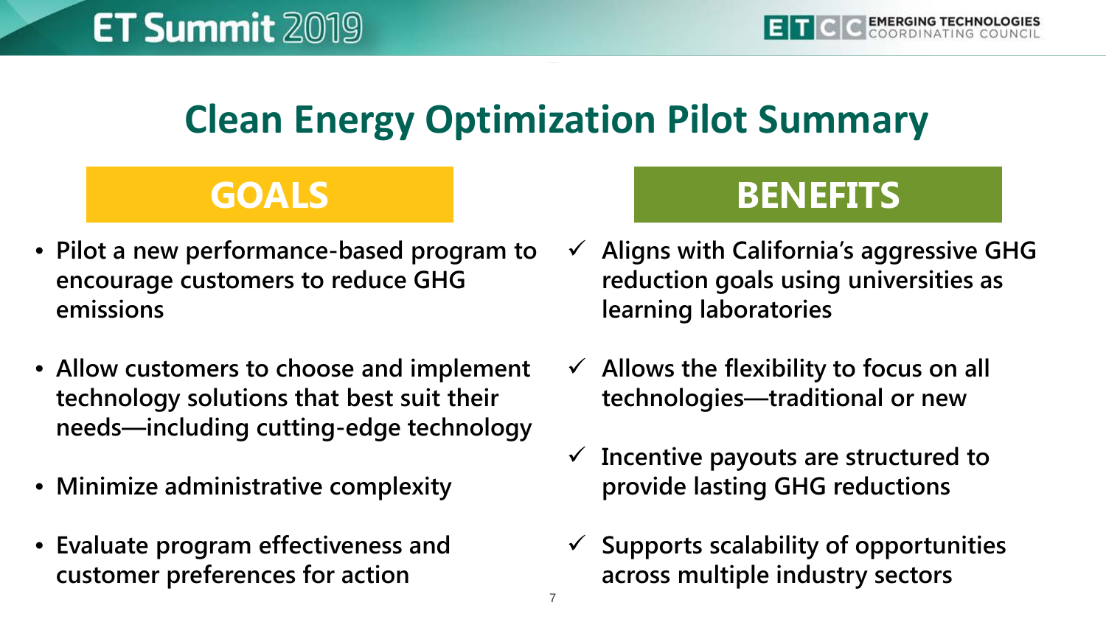### **Clean Energy Optimization Pilot Summary**

- **Pilot a new performance-based program to encourage customers to reduce GHG emissions**
- **Allow customers to choose and implement technology solutions that best suit their needs—including cutting-edge technology**
- **Minimize administrative complexity**
- **Evaluate program effectiveness and customer preferences for action**

#### **GOALS BENEFITS**

- **Aligns with California's aggressive GHG reduction goals using universities as learning laboratories**
- **Allows the flexibility to focus on all technologies—traditional or new**
- **Incentive payouts are structured to provide lasting GHG reductions**
- **Supports scalability of opportunities across multiple industry sectors**